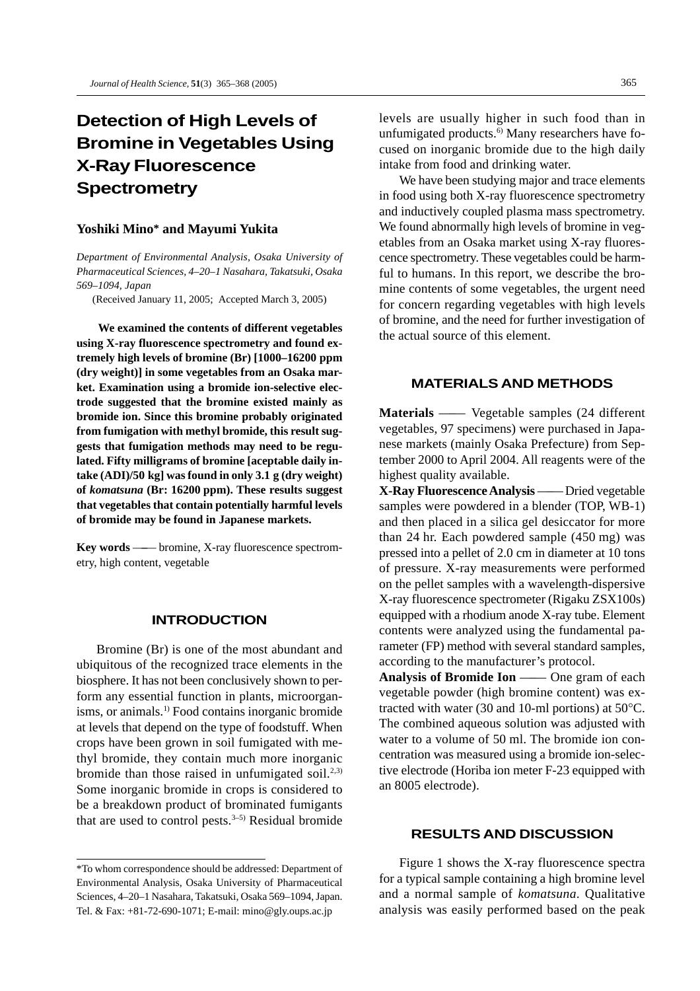# **Detection of High Levels of Bromine in Vegetables Using X-Ray Fluorescence Spectrometry**

#### **Yoshiki Mino\* and Mayumi Yukita**

*Department of Environmental Analysis, Osaka University of Pharmaceutical Sciences, 4–20–1 Nasahara, Takatsuki, Osaka 569–1094, Japan*

(Received January 11, 2005; Accepted March 3, 2005)

**We examined the contents of different vegetables using X-ray fluorescence spectrometry and found extremely high levels of bromine (Br) [1000–16200 ppm (dry weight)] in some vegetables from an Osaka market. Examination using a bromide ion-selective electrode suggested that the bromine existed mainly as bromide ion. Since this bromine probably originated from fumigation with methyl bromide, this result suggests that fumigation methods may need to be regulated. Fifty milligrams of bromine [aceptable daily intake (ADI)/50 kg] was found in only 3.1 g (dry weight) of** *komatsuna* **(Br: 16200 ppm). These results suggest that vegetables that contain potentially harmful levels of bromide may be found in Japanese markets.**

**Key words** —–— bromine, X-ray fluorescence spectrometry, high content, vegetable

## **INTRODUCTION**

Bromine (Br) is one of the most abundant and ubiquitous of the recognized trace elements in the biosphere. It has not been conclusively shown to perform any essential function in plants, microorganisms, or animals.<sup>1)</sup> Food contains inorganic bromide at levels that depend on the type of foodstuff. When crops have been grown in soil fumigated with methyl bromide, they contain much more inorganic bromide than those raised in unfumigated soil.<sup>2,3)</sup> Some inorganic bromide in crops is considered to be a breakdown product of brominated fumigants that are used to control pests. $3-5$ ) Residual bromide

levels are usually higher in such food than in unfumigated products.<sup>6)</sup> Many researchers have focused on inorganic bromide due to the high daily intake from food and drinking water.

We have been studying major and trace elements in food using both X-ray fluorescence spectrometry and inductively coupled plasma mass spectrometry. We found abnormally high levels of bromine in vegetables from an Osaka market using X-ray fluorescence spectrometry. These vegetables could be harmful to humans. In this report, we describe the bromine contents of some vegetables, the urgent need for concern regarding vegetables with high levels of bromine, and the need for further investigation of the actual source of this element.

## **MATERIALS AND METHODS**

**Materials** —–— Vegetable samples (24 different vegetables, 97 specimens) were purchased in Japanese markets (mainly Osaka Prefecture) from September 2000 to April 2004. All reagents were of the highest quality available.

**X-Ray Fluorescence Analysis** —–— Dried vegetable samples were powdered in a blender (TOP, WB-1) and then placed in a silica gel desiccator for more than 24 hr. Each powdered sample (450 mg) was pressed into a pellet of 2.0 cm in diameter at 10 tons of pressure. X-ray measurements were performed on the pellet samples with a wavelength-dispersive X-ray fluorescence spectrometer (Rigaku ZSX100s) equipped with a rhodium anode X-ray tube. Element contents were analyzed using the fundamental parameter (FP) method with several standard samples, according to the manufacturer's protocol.

Analysis of Bromide Ion —— One gram of each vegetable powder (high bromine content) was extracted with water (30 and 10-ml portions) at 50°C. The combined aqueous solution was adjusted with water to a volume of 50 ml. The bromide ion concentration was measured using a bromide ion-selective electrode (Horiba ion meter F-23 equipped with an 8005 electrode).

## **RESULTS AND DISCUSSION**

Figure 1 shows the X-ray fluorescence spectra for a typical sample containing a high bromine level and a normal sample of *komatsuna*. Qualitative analysis was easily performed based on the peak

<sup>\*</sup>To whom correspondence should be addressed: Department of Environmental Analysis, Osaka University of Pharmaceutical Sciences, 4–20–1 Nasahara, Takatsuki, Osaka 569–1094, Japan. Tel. & Fax: +81-72-690-1071; E-mail: mino@gly.oups.ac.jp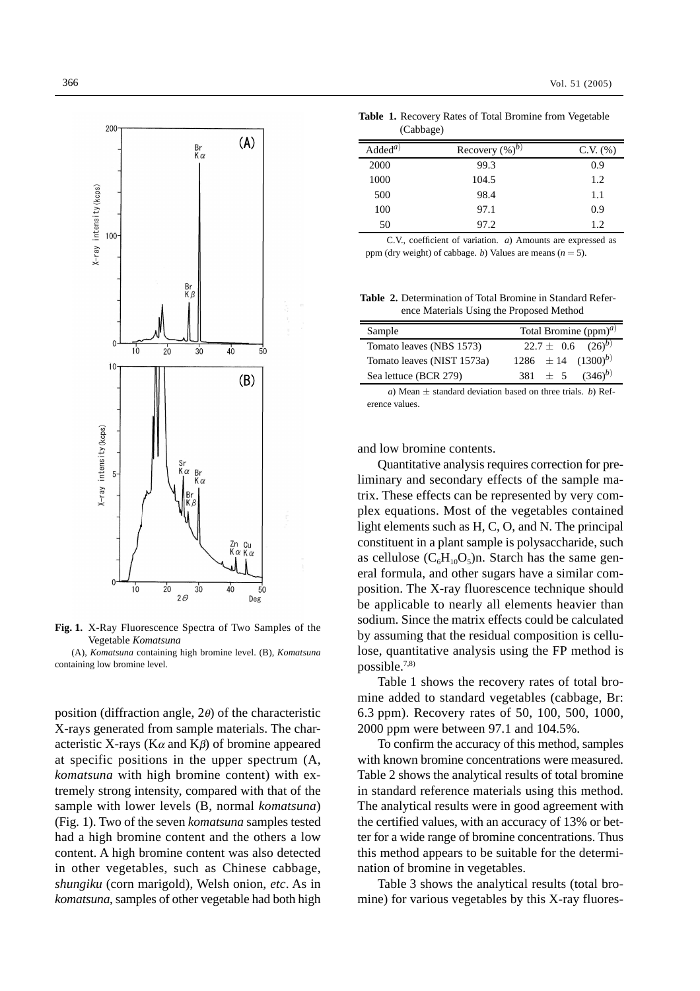

**Fig. 1.** X-Ray Fluorescence Spectra of Two Samples of the Vegetable *Komatsuna*

(A), *Komatsuna* containing high bromine level. (B), *Komatsuna* containing low bromine level.

position (diffraction angle, 2θ) of the characteristic X-rays generated from sample materials. The characteristic X-rays ( $K\alpha$  and  $K\beta$ ) of bromine appeared at specific positions in the upper spectrum (A, *komatsuna* with high bromine content) with extremely strong intensity, compared with that of the sample with lower levels (B, normal *komatsuna*) (Fig. 1). Two of the seven *komatsuna* samples tested had a high bromine content and the others a low content. A high bromine content was also detected in other vegetables, such as Chinese cabbage, *shungiku* (corn marigold), Welsh onion, *etc*. As in *komatsuna*, samples of other vegetable had both high

**Table 1.** Recovery Rates of Total Bromine from Vegetable (Cabbage)

| $\text{Added}^{a)}$ | Recovery $(\%)^b$ | $C.V.$ $(\%)$ |
|---------------------|-------------------|---------------|
| 2000                | 99.3              | 0.9           |
| 1000                | 104.5             | 1.2           |
| 500                 | 98.4              | 1.1           |
| 100                 | 97.1              | 0.9           |
| 50                  | 97.2              | 1.2           |

C.V., coefficient of variation. *a*) Amounts are expressed as ppm (dry weight) of cabbage. *b*) Values are means  $(n = 5)$ .

**Table 2.** Determination of Total Bromine in Standard Reference Materials Using the Proposed Method

| Sample                     | Total Bromine $(ppm)^{a}$       |
|----------------------------|---------------------------------|
| Tomato leaves (NBS 1573)   | $22.7 \pm 0.6$ $(26)^{b}$       |
| Tomato leaves (NIST 1573a) | $1286 \pm 14$ $(1300)^{b}$      |
| Sea lettuce (BCR 279)      | 381 $\pm$ 5 (346) <sup>b)</sup> |

*a*) Mean *±* standard deviation based on three trials. *b*) Reference values.

and low bromine contents.

Quantitative analysis requires correction for preliminary and secondary effects of the sample matrix. These effects can be represented by very complex equations. Most of the vegetables contained light elements such as H, C, O, and N. The principal constituent in a plant sample is polysaccharide, such as cellulose  $(C_6H_{10}O_5)n$ . Starch has the same general formula, and other sugars have a similar composition. The X-ray fluorescence technique should be applicable to nearly all elements heavier than sodium. Since the matrix effects could be calculated by assuming that the residual composition is cellulose, quantitative analysis using the FP method is possible.7,8)

Table 1 shows the recovery rates of total bromine added to standard vegetables (cabbage, Br: 6.3 ppm). Recovery rates of 50, 100, 500, 1000, 2000 ppm were between 97.1 and 104.5%.

To confirm the accuracy of this method, samples with known bromine concentrations were measured. Table 2 shows the analytical results of total bromine in standard reference materials using this method. The analytical results were in good agreement with the certified values, with an accuracy of 13% or better for a wide range of bromine concentrations. Thus this method appears to be suitable for the determination of bromine in vegetables.

Table 3 shows the analytical results (total bromine) for various vegetables by this X-ray fluores-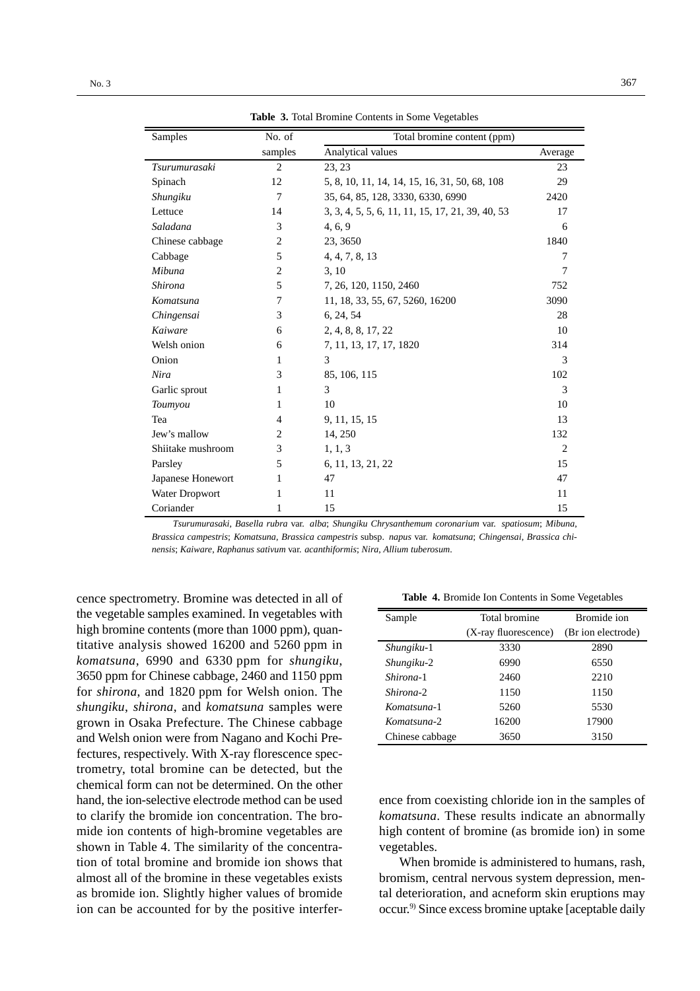| Samples               | No. of         | Total bromine content (ppm)                      |                |
|-----------------------|----------------|--------------------------------------------------|----------------|
|                       | samples        | Analytical values                                | Average        |
| Tsurumurasaki         | $\overline{2}$ | 23, 23                                           | 23             |
| Spinach               | 12             | 5, 8, 10, 11, 14, 14, 15, 16, 31, 50, 68, 108    | 29             |
| Shungiku              | 7              | 35, 64, 85, 128, 3330, 6330, 6990                | 2420           |
| Lettuce               | 14             | 3, 3, 4, 5, 5, 6, 11, 11, 15, 17, 21, 39, 40, 53 | 17             |
| Saladana              | 3              | 4, 6, 9                                          | 6              |
| Chinese cabbage       | 2              | 23, 3650                                         | 1840           |
| Cabbage               | 5              | 4, 4, 7, 8, 13                                   | 7              |
| Mibuna                | 2              | 3, 10                                            | 7              |
| <b>Shirona</b>        | 5              | 7, 26, 120, 1150, 2460                           | 752            |
| Komatsuna             | 7              | 11, 18, 33, 55, 67, 5260, 16200                  | 3090           |
| Chingensai            | 3              | 6, 24, 54                                        | 28             |
| Kaiware               | 6              | 2, 4, 8, 8, 17, 22                               | 10             |
| Welsh onion           | 6              | 7, 11, 13, 17, 17, 1820                          | 314            |
| Onion                 | 1              | 3                                                | 3              |
| Nira                  | 3              | 85, 106, 115                                     | 102            |
| Garlic sprout         | 1              | 3                                                | 3              |
| Toumyou               | 1              | 10                                               | 10             |
| Tea                   | 4              | 9, 11, 15, 15                                    | 13             |
| Jew's mallow          | 2              | 14, 250                                          | 132            |
| Shiitake mushroom     | 3              | 1, 1, 3                                          | $\overline{2}$ |
| Parsley               | 5              | 6, 11, 13, 21, 22                                | 15             |
| Japanese Honewort     | 1              | 47                                               | 47             |
| <b>Water Dropwort</b> | 1              | 11                                               | 11             |
| Coriander             | 1              | 15                                               | 15             |

**Table 3.** Total Bromine Contents in Some Vegetables

*Tsurumurasaki*, *Basella rubra* var. *alba*; *Shungiku Chrysanthemum coronarium* var. *spatiosum*; *Mibuna*, *Brassica campestris*; *Komatsuna*, *Brassica campestris* subsp. *napus* var. *komatsuna*; *Chingensai*, *Brassica chinensis*; *Kaiware*, *Raphanus sativum* var. *acanthiformis*; *Nira*, *Allium tuberosum*.

cence spectrometry. Bromine was detected in all of the vegetable samples examined. In vegetables with high bromine contents (more than 1000 ppm), quantitative analysis showed 16200 and 5260 ppm in *komatsuna*, 6990 and 6330 ppm for *shungiku*, 3650 ppm for Chinese cabbage, 2460 and 1150 ppm for *shirona*, and 1820 ppm for Welsh onion. The *shungiku*, *shirona*, and *komatsuna* samples were grown in Osaka Prefecture. The Chinese cabbage and Welsh onion were from Nagano and Kochi Prefectures, respectively. With X-ray florescence spectrometry, total bromine can be detected, but the chemical form can not be determined. On the other hand, the ion-selective electrode method can be used to clarify the bromide ion concentration. The bromide ion contents of high-bromine vegetables are shown in Table 4. The similarity of the concentration of total bromine and bromide ion shows that almost all of the bromine in these vegetables exists as bromide ion. Slightly higher values of bromide ion can be accounted for by the positive interfer-

**Table 4.** Bromide Ion Contents in Some Vegetables

| Sample          | Total bromine        | Bromide ion        |
|-----------------|----------------------|--------------------|
|                 | (X-ray fluorescence) | (Br ion electrode) |
| Shungiku-1      | 3330                 | 2890               |
| Shungiku-2      | 6990                 | 6550               |
| Shirona-1       | 2460                 | 2210               |
| Shirona-2       | 1150                 | 1150               |
| Komatsuna-1     | 5260                 | 5530               |
| Komatsuna-2     | 16200                | 17900              |
| Chinese cabbage | 3650                 | 3150               |

ence from coexisting chloride ion in the samples of *komatsuna*. These results indicate an abnormally high content of bromine (as bromide ion) in some vegetables.

When bromide is administered to humans, rash, bromism, central nervous system depression, mental deterioration, and acneform skin eruptions may occur.9) Since excess bromine uptake [aceptable daily